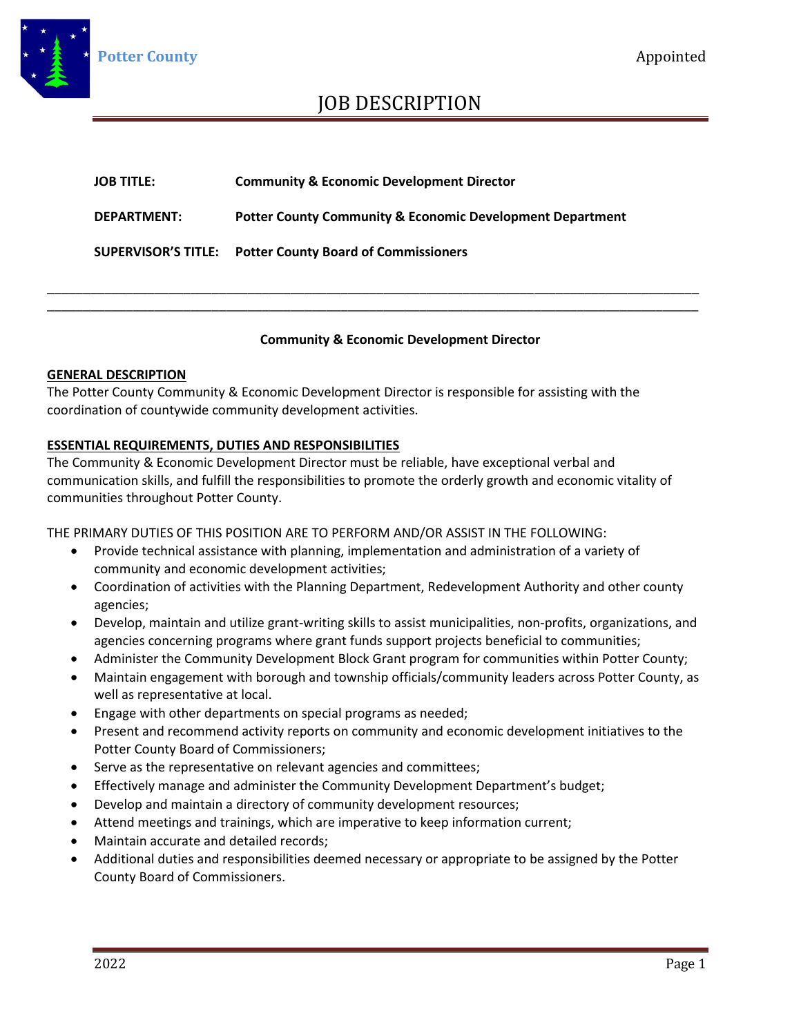

### JOB DESCRIPTION

| <b>JOB TITLE:</b>          | <b>Community &amp; Economic Development Director</b>                 |
|----------------------------|----------------------------------------------------------------------|
| <b>DEPARTMENT:</b>         | <b>Potter County Community &amp; Economic Development Department</b> |
| <b>SUPERVISOR'S TITLE:</b> | <b>Potter County Board of Commissioners</b>                          |

\_\_\_\_\_\_\_\_\_\_\_\_\_\_\_\_\_\_\_\_\_\_\_\_\_\_\_\_\_\_\_\_\_\_\_\_\_\_\_\_\_\_\_\_\_\_\_\_\_\_\_\_\_\_\_\_\_\_\_\_\_\_\_\_\_\_\_\_\_\_\_\_\_\_\_\_\_\_\_\_\_\_\_\_\_\_\_\_\_\_\_ \_\_\_\_\_\_\_\_\_\_\_\_\_\_\_\_\_\_\_\_\_\_\_\_\_\_\_\_\_\_\_\_\_\_\_\_\_\_\_\_\_\_\_\_\_\_\_\_\_\_\_\_\_\_\_\_\_\_\_\_\_\_\_\_\_\_\_\_\_\_\_\_\_\_\_\_\_\_\_\_\_\_\_\_\_\_\_\_\_\_\_

#### **Community & Economic Development Director**

#### **GENERAL DESCRIPTION**

The Potter County Community & Economic Development Director is responsible for assisting with the coordination of countywide community development activities.

#### **ESSENTIAL REQUIREMENTS, DUTIES AND RESPONSIBILITIES**

The Community & Economic Development Director must be reliable, have exceptional verbal and communication skills, and fulfill the responsibilities to promote the orderly growth and economic vitality of communities throughout Potter County.

THE PRIMARY DUTIES OF THIS POSITION ARE TO PERFORM AND/OR ASSIST IN THE FOLLOWING:

- Provide technical assistance with planning, implementation and administration of a variety of community and economic development activities;
- Coordination of activities with the Planning Department, Redevelopment Authority and other county agencies;
- Develop, maintain and utilize grant-writing skills to assist municipalities, non-profits, organizations, and agencies concerning programs where grant funds support projects beneficial to communities;
- Administer the Community Development Block Grant program for communities within Potter County;
- Maintain engagement with borough and township officials/community leaders across Potter County, as well as representative at local.
- Engage with other departments on special programs as needed;
- Present and recommend activity reports on community and economic development initiatives to the Potter County Board of Commissioners;
- Serve as the representative on relevant agencies and committees;
- Effectively manage and administer the Community Development Department's budget;
- Develop and maintain a directory of community development resources;
- Attend meetings and trainings, which are imperative to keep information current;
- Maintain accurate and detailed records;
- Additional duties and responsibilities deemed necessary or appropriate to be assigned by the Potter County Board of Commissioners.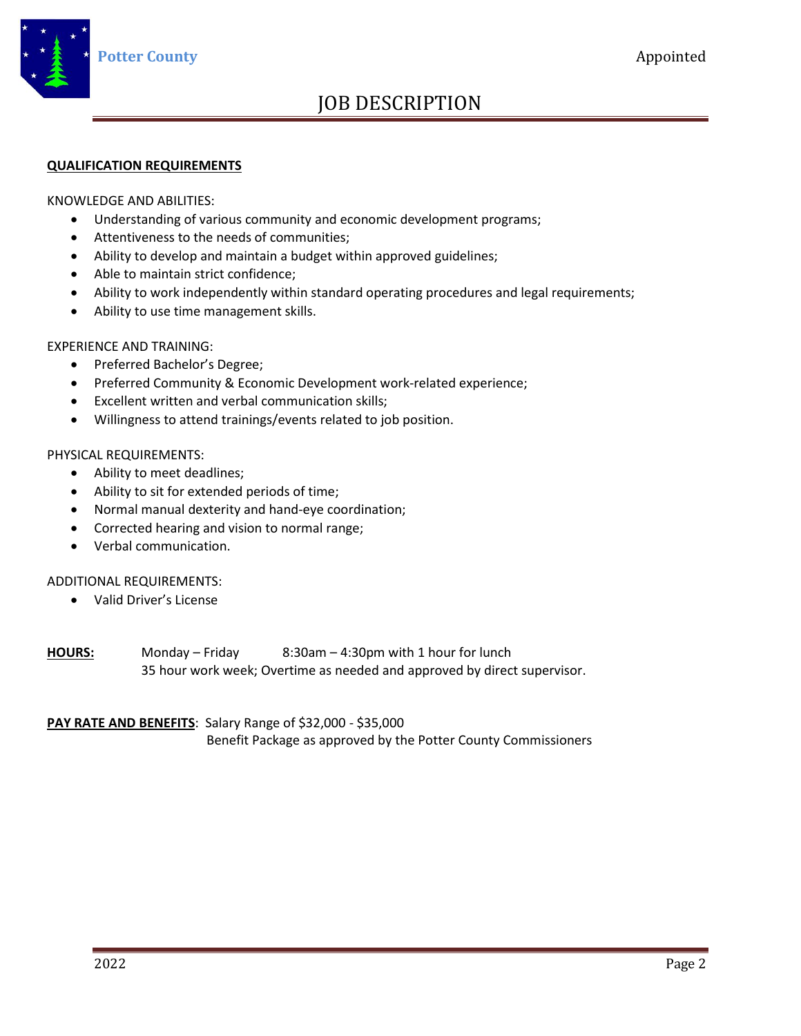

# JOB DESCRIPTION

#### **QUALIFICATION REQUIREMENTS**

KNOWLEDGE AND ABILITIES:

- Understanding of various community and economic development programs;
- Attentiveness to the needs of communities;
- Ability to develop and maintain a budget within approved guidelines;
- Able to maintain strict confidence;
- Ability to work independently within standard operating procedures and legal requirements;
- Ability to use time management skills.

EXPERIENCE AND TRAINING:

- Preferred Bachelor's Degree;
- Preferred Community & Economic Development work-related experience;
- Excellent written and verbal communication skills;
- Willingness to attend trainings/events related to job position.

#### PHYSICAL REQUIREMENTS:

- Ability to meet deadlines;
- Ability to sit for extended periods of time;
- Normal manual dexterity and hand-eye coordination;
- Corrected hearing and vision to normal range;
- Verbal communication.

#### ADDITIONAL REQUIREMENTS:

• Valid Driver's License

**HOURS:** Monday – Friday 8:30am – 4:30pm with 1 hour for lunch 35 hour work week; Overtime as needed and approved by direct supervisor.

#### **PAY RATE AND BENEFITS**: Salary Range of \$32,000 - \$35,000

Benefit Package as approved by the Potter County Commissioners